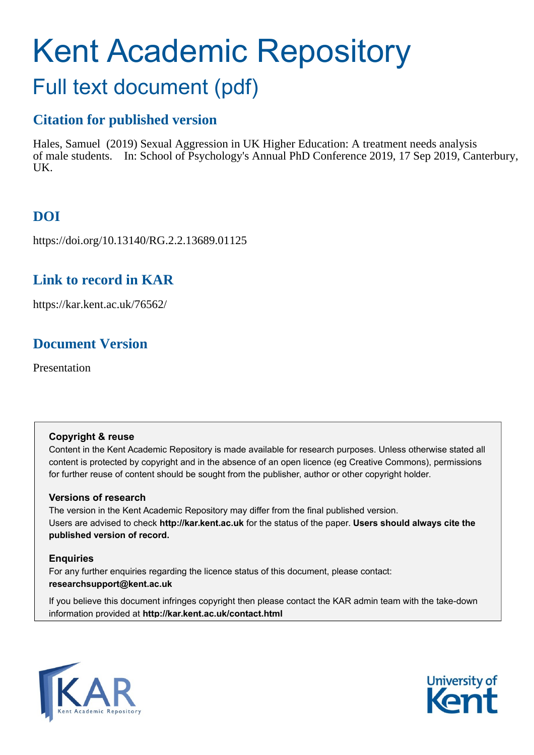## Kent Academic Repository

## Full text document (pdf)

#### **Citation for published version**

Hales, Samuel (2019) Sexual Aggression in UK Higher Education: A treatment needs analysis of male students. In: School of Psychology's Annual PhD Conference 2019, 17 Sep 2019, Canterbury, UK.

#### **DOI**

https://doi.org/10.13140/RG.2.2.13689.01125

#### **Link to record in KAR**

https://kar.kent.ac.uk/76562/

#### **Document Version**

Presentation

#### **Copyright & reuse**

Content in the Kent Academic Repository is made available for research purposes. Unless otherwise stated all content is protected by copyright and in the absence of an open licence (eg Creative Commons), permissions for further reuse of content should be sought from the publisher, author or other copyright holder.

#### **Versions of research**

The version in the Kent Academic Repository may differ from the final published version. Users are advised to check **http://kar.kent.ac.uk** for the status of the paper. **Users should always cite the published version of record.**

#### **Enquiries**

For any further enquiries regarding the licence status of this document, please contact: **researchsupport@kent.ac.uk**

If you believe this document infringes copyright then please contact the KAR admin team with the take-down information provided at **http://kar.kent.ac.uk/contact.html**